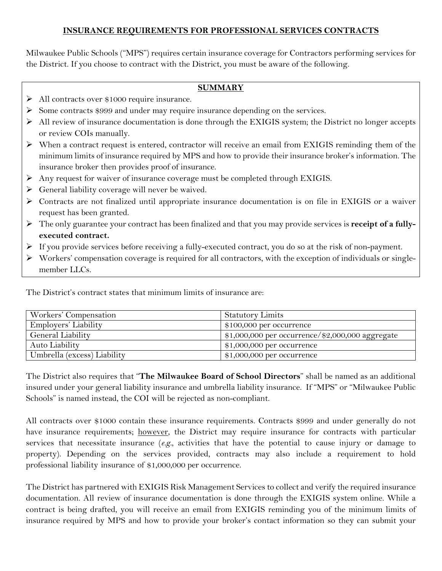## **INSURANCE REQUIREMENTS FOR PROFESSIONAL SERVICES CONTRACTS**

Milwaukee Public Schools ("MPS") requires certain insurance coverage for Contractors performing services for the District. If you choose to contract with the District, you must be aware of the following.

## **SUMMARY**

- All contracts over \$1000 require insurance.
- $\triangleright$  Some contracts \$999 and under may require insurance depending on the services.
- $\triangleright$  All review of insurance documentation is done through the EXIGIS system; the District no longer accepts or review COIs manually.
- When a contract request is entered, contractor will receive an email from EXIGIS reminding them of the minimum limits of insurance required by MPS and how to provide their insurance broker's information. The insurance broker then provides proof of insurance.
- Any request for waiver of insurance coverage must be completed through EXIGIS.
- $\triangleright$  General liability coverage will never be waived.
- Contracts are not finalized until appropriate insurance documentation is on file in EXIGIS or a waiver request has been granted.
- The only guarantee your contract has been finalized and that you may provide services is **receipt of a fullyexecuted contract.**
- $\triangleright$  If you provide services before receiving a fully-executed contract, you do so at the risk of non-payment.
- $\triangleright$  Workers' compensation coverage is required for all contractors, with the exception of individuals or singlemember LLCs.

The District's contract states that minimum limits of insurance are:

| Workers' Compensation       | <b>Statutory Limits</b>                           |
|-----------------------------|---------------------------------------------------|
| Employers' Liability        | $$100,000$ per occurrence                         |
| General Liability           | $$1,000,000$ per occurrence/\$2,000,000 aggregate |
| Auto Liability              | $$1,000,000$ per occurrence                       |
| Umbrella (excess) Liability | $$1,000,000$ per occurrence                       |

The District also requires that "**The Milwaukee Board of School Directors**" shall be named as an additional insured under your general liability insurance and umbrella liability insurance. If "MPS" or "Milwaukee Public Schools" is named instead, the COI will be rejected as non-compliant.

All contracts over \$1000 contain these insurance requirements. Contracts \$999 and under generally do not have insurance requirements; however, the District may require insurance for contracts with particular services that necessitate insurance (*e.g.*, activities that have the potential to cause injury or damage to property). Depending on the services provided, contracts may also include a requirement to hold professional liability insurance of \$1,000,000 per occurrence.

The District has partnered with EXIGIS Risk Management Services to collect and verify the required insurance documentation. All review of insurance documentation is done through the EXIGIS system online. While a contract is being drafted, you will receive an email from EXIGIS reminding you of the minimum limits of insurance required by MPS and how to provide your broker's contact information so they can submit your